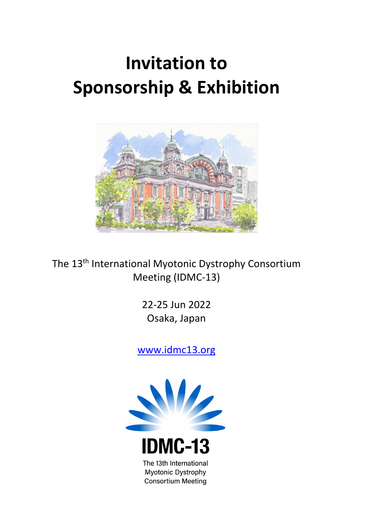# **Invitation to Sponsorship & Exhibition**



The 13<sup>th</sup> International Myotonic Dystrophy Consortium Meeting (IDMC-13)

> 22-25 Jun 2022 Osaka, Japan

[www.idmc13.org](http://www.idmc13.org/)

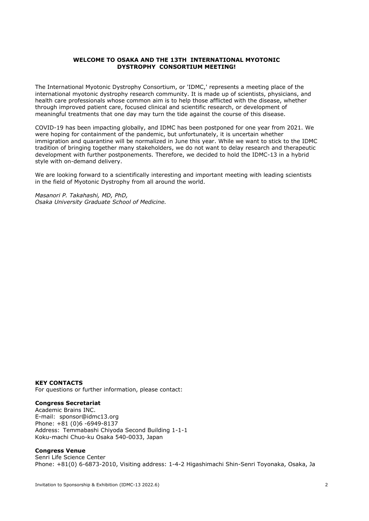## **WELCOME TO OSAKA AND THE 13TH INTERNATIONAL MYOTONIC DYSTROPHY CONSORTIUM MEETING!**

The International Myotonic Dystrophy Consortium, or 'IDMC,' represents a meeting place of the international myotonic dystrophy research community. It is made up of scientists, physicians, and health care professionals whose common aim is to help those afflicted with the disease, whether through improved patient care, focused clinical and scientific research, or development of meaningful treatments that one day may turn the tide against the course of this disease.

COVID-19 has been impacting globally, and IDMC has been postponed for one year from 2021. We were hoping for containment of the pandemic, but unfortunately, it is uncertain whether immigration and quarantine will be normalized in June this year. While we want to stick to the IDMC tradition of bringing together many stakeholders, we do not want to delay research and therapeutic development with further postponements. Therefore, we decided to hold the IDMC-13 in a hybrid style with on-demand delivery.

We are looking forward to a scientifically interesting and important meeting with leading scientists in the field of Myotonic Dystrophy from all around the world.

*Masanori P. Takahashi, MD, PhD, Osaka University Graduate School of Medicine.*

## **KEY CONTACTS**

For questions or further information, please contact:

## **Congress Secretariat**

Academic Brains INC. E-mail: sponsor@idmc13.org Phone: +81 (0)6 -6949-8137 Address: Temmabashi Chiyoda Second Building 1-1-1 Koku-machi Chuo-ku Osaka 540-0033, Japan

## **Congress Venue**

Senri Life Science Center Phone: +81(0) 6-6873-2010, Visiting address: 1-4-2 Higashimachi Shin-Senri Toyonaka, Osaka, Ja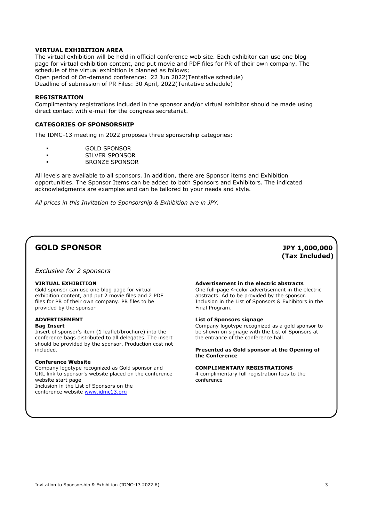## **VIRTUAL EXHIBITION AREA**

The virtual exhibition will be held in official conference web site. Each exhibitor can use one blog page for virtual exhibition content, and put movie and PDF files for PR of their own company. The schedule of the virtual exhibition is planned as follows; Open period of On-demand conference: 22 Jun 2022(Tentative schedule) Deadline of submission of PR Files: 30 April, 2022(Tentative schedule)

## **REGISTRATION**

Complimentary registrations included in the sponsor and/or virtual exhibitor should be made using direct contact with e-mail for the congress secretariat.

## **CATEGORIES OF SPONSORSHIP**

The IDMC-13 meeting in 2022 proposes three sponsorship categories:

- GOLD SPONSOR
- SILVER SPONSOR
- BRONZE SPONSOR

All levels are available to all sponsors. In addition, there are Sponsor items and Exhibition opportunities. The Sponsor Items can be added to both Sponsors and Exhibitors. The indicated acknowledgments are examples and can be tailored to your needs and style.

*All prices in this Invitation to Sponsorship & Exhibition are in JPY.*

## **GOLD SPONSOR JPY 1,000,000**

*Exclusive for 2 sponsors*

#### **VIRTUAL EXHIBITION**

Gold sponsor can use one blog page for virtual exhibition content, and put 2 movie files and 2 PDF files for PR of their own company. PR files to be provided by the sponsor

## **ADVERTISEMENT**

#### **Bag Insert**

Insert of sponsor's item (1 leaflet/brochure) into the conference bags distributed to all delegates. The insert should be provided by the sponsor. Production cost not included.

## **Conference Website**

Company logotype recognized as Gold sponsor and URL link to sponsor's website placed on the conference website start page Inclusion in the List of Sponsors on the conference website [www.idmc13.org](http://www.idmc13.org/)

#### **Advertisement in the electric abstracts**

One full-page 4-color advertisement in the electric abstracts. Ad to be provided by the sponsor. Inclusion in the List of Sponsors & Exhibitors in the Final Program.

**(Tax Included)**

#### **List of Sponsors signage**

Company logotype recognized as a gold sponsor to be shown on signage with the List of Sponsors at the entrance of the conference hall.

#### **Presented as Gold sponsor at the Opening of the Conference**

#### **COMPLIMENTARY REGISTRATIONS**

4 complimentary full registration fees to the conference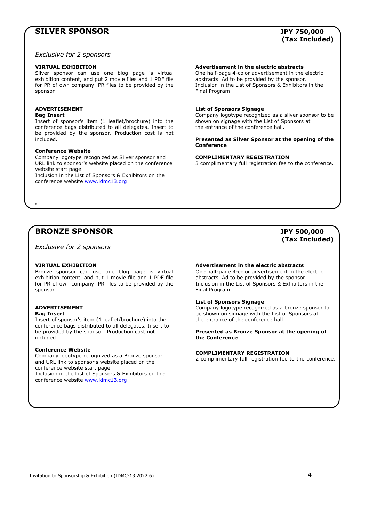## **SILVER SPONSOR JPY 750,000**

## **(Tax Included)**

*Exclusive for 2 sponsors*

#### **VIRTUAL EXHIBITION**

Silver sponsor can use one blog page is virtual exhibition content, and put 2 movie files and 1 PDF file for PR of own company. PR files to be provided by the sponsor

## **ADVERTISEMENT**

**Bag Insert**

Insert of sponsor's item (1 leaflet/brochure) into the conference bags distributed to all delegates. Insert to be provided by the sponsor. Production cost is not included.

## **Conference Website**

Company logotype recognized as Silver sponsor and URL link to sponsor's website placed on the conference website start page Inclusion in the List of Sponsors & Exhibitors on the conference website [www.idmc13.org](http://www.idmc13.org/)

### **Advertisement in the electric abstracts**

One half-page 4-color advertisement in the electric abstracts. Ad to be provided by the sponsor. Inclusion in the List of Sponsors & Exhibitors in the Final Program

#### **List of Sponsors Signage**

Company logotype recognized as a silver sponsor to be shown on signage with the List of Sponsors at the entrance of the conference hall.

#### **Presented as Silver Sponsor at the opening of the Conference**

#### **COMPLIMENTARY REGISTRATION**

3 complimentary full registration fee to the conference.

## **BRONZE SPONSOR JPY 500,000**

*Exclusive for 2 sponsors*

## **VIRTUAL EXHIBITION**

Bronze sponsor can use one blog page is virtual exhibition content, and put 1 movie file and 1 PDF file for PR of own company. PR files to be provided by the sponsor

## **ADVERTISEMENT**

**Bag Insert**

Insert of sponsor's item (1 leaflet/brochure) into the conference bags distributed to all delegates. Insert to be provided by the sponsor. Production cost not included.

## **Conference Website**

Company logotype recognized as a Bronze sponsor and URL link to sponsor's website placed on the conference website start page Inclusion in the List of Sponsors & Exhibitors on the conference website **www.idmc13.org** 

#### **Advertisement in the electric abstracts**

One half-page 4-color advertisement in the electric abstracts. Ad to be provided by the sponsor. Inclusion in the List of Sponsors & Exhibitors in the Final Program

#### **List of Sponsors Signage**

Company logotype recognized as a bronze sponsor to be shown on signage with the List of Sponsors at the entrance of the conference hall.

### **Presented as Bronze Sponsor at the opening of the Conference**

#### **COMPLIMENTARY REGISTRATION**

2 complimentary full registration fee to the conference.

## **(Tax Included)**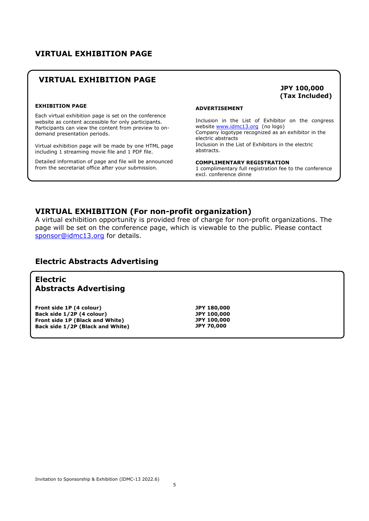## **VIRTUAL EXHIBITION PAGE**

## **VIRTUAL EXHIBITION PAGE**

## **EXHIBITION PAGE**

Each virtual exhibition page is set on the conference website as content accessible for only participants. Participants can view the content from preview to ondemand presentation periods.

Virtual exhibition page will be made by one HTML page including 1 streaming movie file and 1 PDF file.

Detailed information of page and file will be announced from the secretariat office after your submission.

## **ADVERTISEMENT**

Inclusion in the List of Exhibitor on the congress website [www.idmc13.org](http://www.idmc13.org/) (no logo) Company logotype recognized as an exhibitor in the electric abstracts Inclusion in the List of Exhibitors in the electric abstracts.

**JPY 100,000 (Tax Included)**

**COMPLIMENTARY REGISTRATION**

1 complimentary full registration fee to the conference excl. conference dinne

## **VIRTUAL EXHIBITION (For non-profit organization)**

A virtual exhibition opportunity is provided free of charge for non-profit organizations. The page will be set on the conference page, which is viewable to the public. Please contact [sponsor@idmc13.org](mailto:sponsor@idmc13.org) for details.

## **Electric Abstracts Advertising**

## **Electric Abstracts Advertising**

**Front side 1P (4 colour) Back side 1/2P (4 colour) Front side 1P (Black and White) Back side 1/2P (Black and White)** **JPY 180,000 JPY 100,000 JPY 100,000 JPY 70,000**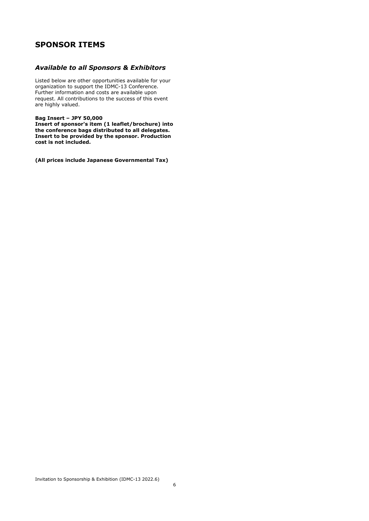## **SPONSOR ITEMS**

## *Available to all Sponsors & Exhibitors*

Listed below are other opportunities available for your organization to support the IDMC-13 Conference. Further information and costs are available upon request. All contributions to the success of this event are highly valued.

**Bag Insert – JPY 50,000**

**Insert of sponsor's item (1 leaflet/brochure) into the conference bags distributed to all delegates. Insert to be provided by the sponsor. Production cost is not included.**

**(All prices include Japanese Governmental Tax)**